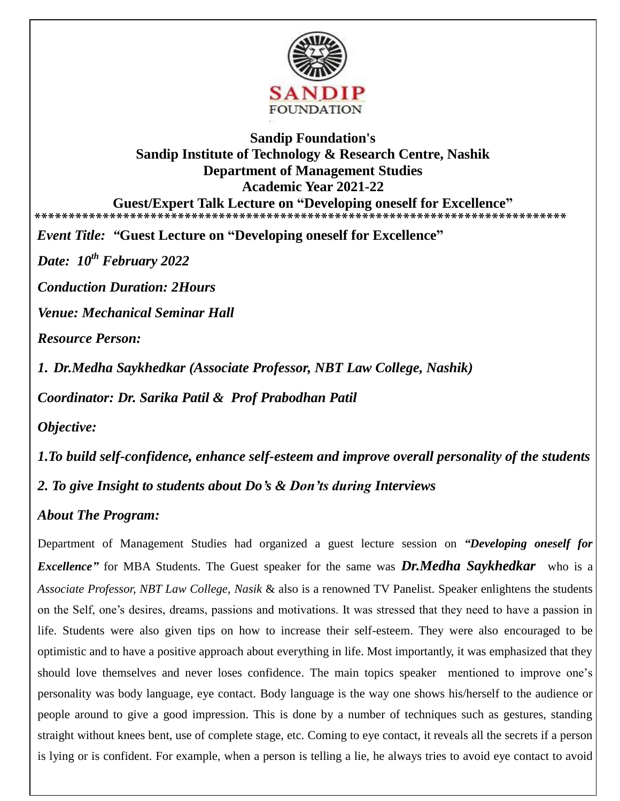

## **Sandip Foundation's Sandip Institute of Technology & Research Centre, Nashik Department of Management Studies Academic Year 2021-22 Guest/Expert Talk Lecture on "Developing oneself for Excellence" \*\*\*\*\*\*\*\*\*\*\*\*\*\*\*\*\*\*\*\*\*\*\*\*\*\*\*\*\*\*\*\*\*\*\*\*\*\*\*\*\*\*\*\*\*\*\*\*\*\*\*\*\*\*\*\*\*\*\*\*\*\*\*\*\*\*\*\*\*\*\*\*\*\*\*\*\*\***

*Event Title: "***Guest Lecture on "Developing oneself for Excellence"**

*Date: 10th February 2022*

*Conduction Duration: 2Hours* 

*Venue: Mechanical Seminar Hall* 

*Resource Person:* 

*1. Dr.Medha Saykhedkar (Associate Professor, NBT Law College, Nashik)*

*Coordinator: Dr. Sarika Patil & Prof Prabodhan Patil* 

*Objective:*

*1.To build self-confidence, enhance self-esteem and improve overall personality of the students 2. To give Insight to students about Do's & Don'ts during Interviews* 

*About The Program:* 

Department of Management Studies had organized a guest lecture session on *"Developing oneself for Excellence"* for MBA Students. The Guest speaker for the same was *Dr.Medha Saykhedkar* who is a *Associate Professor, NBT Law College, Nasik* & also is a renowned TV Panelist. Speaker enlightens the students on the Self, one's desires, dreams, passions and motivations. It was stressed that they need to have a passion in life. Students were also given tips on how to increase their self-esteem. They were also encouraged to be optimistic and to have a positive approach about everything in life. Most importantly, it was emphasized that they should love themselves and never loses confidence. The main topics speaker mentioned to improve one's personality was body language, eye contact. Body language is the way one shows his/herself to the audience or people around to give a good impression. This is done by a number of techniques such as gestures, standing straight without knees bent, use of complete stage, etc. Coming to eye contact, it reveals all the secrets if a person is lying or is confident. For example, when a person is telling a lie, he always tries to avoid eye contact to avoid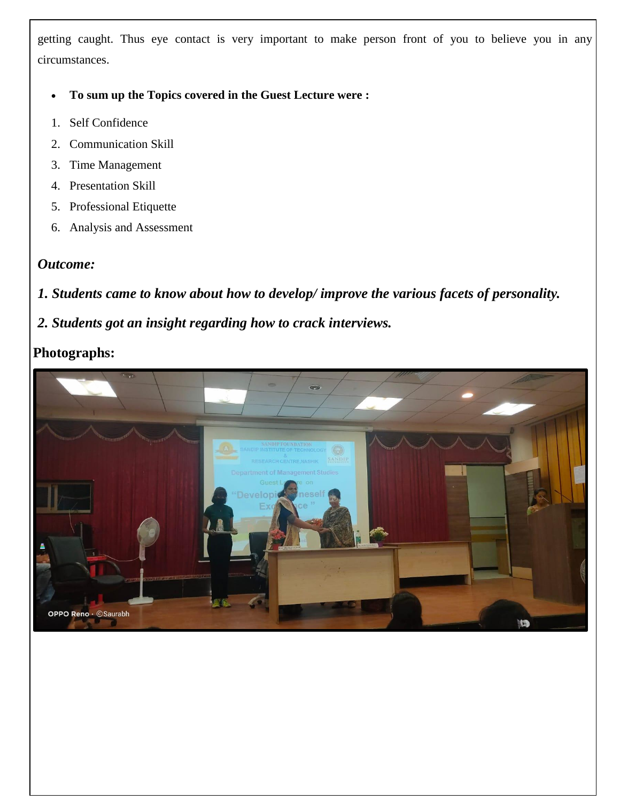getting caught. Thus eye contact is very important to make person front of you to believe you in any circumstances.

- **To sum up the Topics covered in the Guest Lecture were :**
- 1. Self Confidence
- 2. Communication Skill
- 3. Time Management
- 4. Presentation Skill
- 5. Professional Etiquette
- 6. Analysis and Assessment

## *Outcome:*

*1. Students came to know about how to develop/ improve the various facets of personality.*

## *2. Students got an insight regarding how to crack interviews.*

## **Photographs:**

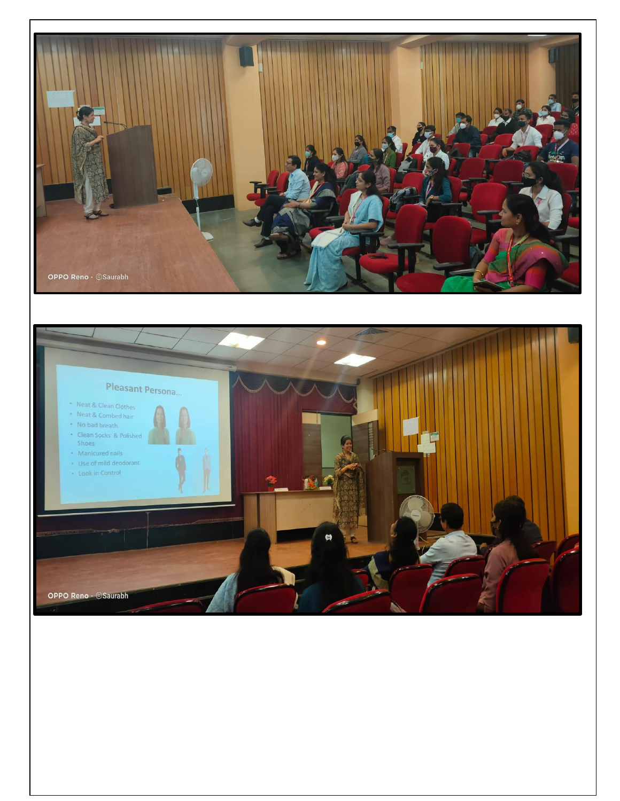